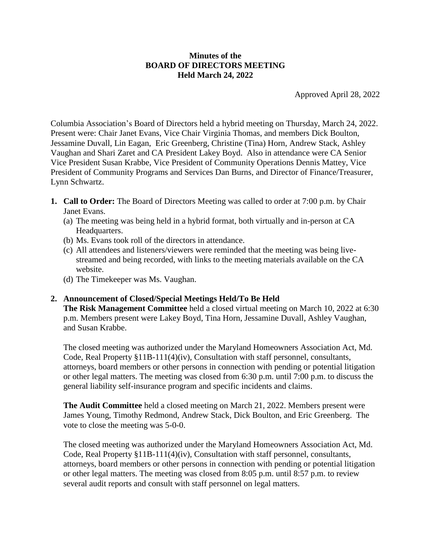## **Minutes of the BOARD OF DIRECTORS MEETING Held March 24, 2022**

Approved April 28, 2022

Columbia Association's Board of Directors held a hybrid meeting on Thursday, March 24, 2022. Present were: Chair Janet Evans, Vice Chair Virginia Thomas, and members Dick Boulton, Jessamine Duvall, Lin Eagan, Eric Greenberg, Christine (Tina) Horn, Andrew Stack, Ashley Vaughan and Shari Zaret and CA President Lakey Boyd. Also in attendance were CA Senior Vice President Susan Krabbe, Vice President of Community Operations Dennis Mattey, Vice President of Community Programs and Services Dan Burns, and Director of Finance/Treasurer, Lynn Schwartz.

- **1. Call to Order:** The Board of Directors Meeting was called to order at 7:00 p.m. by Chair Janet Evans.
	- (a) The meeting was being held in a hybrid format, both virtually and in-person at CA Headquarters.
	- (b) Ms. Evans took roll of the directors in attendance.
	- (c) All attendees and listeners/viewers were reminded that the meeting was being livestreamed and being recorded, with links to the meeting materials available on the CA website.
	- (d) The Timekeeper was Ms. Vaughan.

# **2. Announcement of Closed/Special Meetings Held/To Be Held**

**The Risk Management Committee** held a closed virtual meeting on March 10, 2022 at 6:30 p.m. Members present were Lakey Boyd, Tina Horn, Jessamine Duvall, Ashley Vaughan, and Susan Krabbe.

The closed meeting was authorized under the Maryland Homeowners Association Act, Md. Code, Real Property §11B-111(4)(iv), Consultation with staff personnel, consultants, attorneys, board members or other persons in connection with pending or potential litigation or other legal matters. The meeting was closed from 6:30 p.m. until 7:00 p.m. to discuss the general liability self-insurance program and specific incidents and claims.

**The Audit Committee** held a closed meeting on March 21, 2022. Members present were James Young, Timothy Redmond, Andrew Stack, Dick Boulton, and Eric Greenberg. The vote to close the meeting was 5-0-0.

The closed meeting was authorized under the Maryland Homeowners Association Act, Md. Code, Real Property §11B-111(4)(iv), Consultation with staff personnel, consultants, attorneys, board members or other persons in connection with pending or potential litigation or other legal matters. The meeting was closed from 8:05 p.m. until 8:57 p.m. to review several audit reports and consult with staff personnel on legal matters.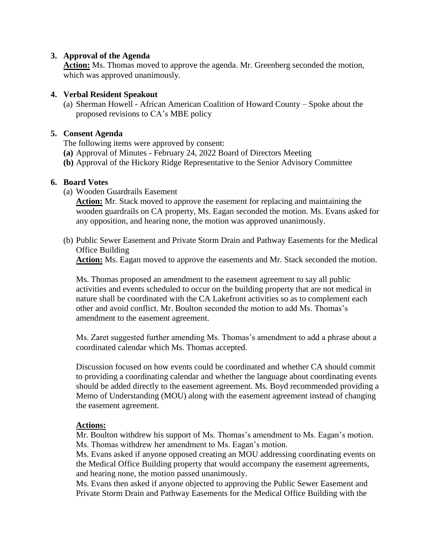#### **3. Approval of the Agenda**

**Action:** Ms. Thomas moved to approve the agenda. Mr. Greenberg seconded the motion, which was approved unanimously.

## **4. Verbal Resident Speakout**

(a) Sherman Howell - African American Coalition of Howard County – Spoke about the proposed revisions to CA's MBE policy

## **5. Consent Agenda**

The following items were approved by consent:

- **(a)** Approval of Minutes February 24, 2022 Board of Directors Meeting
- **(b)** Approval of the Hickory Ridge Representative to the Senior Advisory Committee

## **6. Board Votes**

(a) Wooden Guardrails Easement

**Action:** Mr. Stack moved to approve the easement for replacing and maintaining the wooden guardrails on CA property, Ms. Eagan seconded the motion. Ms. Evans asked for any opposition, and hearing none, the motion was approved unanimously.

(b) Public Sewer Easement and Private Storm Drain and Pathway Easements for the Medical Office Building

**Action:** Ms. Eagan moved to approve the easements and Mr. Stack seconded the motion.

Ms. Thomas proposed an amendment to the easement agreement to say all public activities and events scheduled to occur on the building property that are not medical in nature shall be coordinated with the CA Lakefront activities so as to complement each other and avoid conflict. Mr. Boulton seconded the motion to add Ms. Thomas's amendment to the easement agreement.

Ms. Zaret suggested further amending Ms. Thomas's amendment to add a phrase about a coordinated calendar which Ms. Thomas accepted.

Discussion focused on how events could be coordinated and whether CA should commit to providing a coordinating calendar and whether the language about coordinating events should be added directly to the easement agreement. Ms. Boyd recommended providing a Memo of Understanding (MOU) along with the easement agreement instead of changing the easement agreement.

#### **Actions:**

Mr. Boulton withdrew his support of Ms. Thomas's amendment to Ms. Eagan's motion. Ms. Thomas withdrew her amendment to Ms. Eagan's motion.

Ms. Evans asked if anyone opposed creating an MOU addressing coordinating events on the Medical Office Building property that would accompany the easement agreements, and hearing none, the motion passed unanimously.

Ms. Evans then asked if anyone objected to approving the Public Sewer Easement and Private Storm Drain and Pathway Easements for the Medical Office Building with the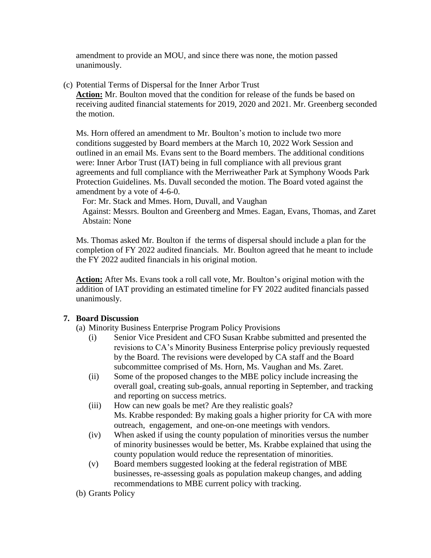amendment to provide an MOU, and since there was none, the motion passed unanimously.

(c) Potential Terms of Dispersal for the Inner Arbor Trust

**Action:** Mr. Boulton moved that the condition for release of the funds be based on receiving audited financial statements for 2019, 2020 and 2021. Mr. Greenberg seconded the motion.

Ms. Horn offered an amendment to Mr. Boulton's motion to include two more conditions suggested by Board members at the March 10, 2022 Work Session and outlined in an email Ms. Evans sent to the Board members. The additional conditions were: Inner Arbor Trust (IAT) being in full compliance with all previous grant agreements and full compliance with the Merriweather Park at Symphony Woods Park Protection Guidelines. Ms. Duvall seconded the motion. The Board voted against the amendment by a vote of 4-6-0.

For: Mr. Stack and Mmes. Horn, Duvall, and Vaughan

 Against: Messrs. Boulton and Greenberg and Mmes. Eagan, Evans, Thomas, and Zaret Abstain: None

Ms. Thomas asked Mr. Boulton if the terms of dispersal should include a plan for the completion of FY 2022 audited financials. Mr. Boulton agreed that he meant to include the FY 2022 audited financials in his original motion.

**Action:** After Ms. Evans took a roll call vote, Mr. Boulton's original motion with the addition of IAT providing an estimated timeline for FY 2022 audited financials passed unanimously.

# **7. Board Discussion**

- (a) Minority Business Enterprise Program Policy Provisions
	- (i) Senior Vice President and CFO Susan Krabbe submitted and presented the revisions to CA's Minority Business Enterprise policy previously requested by the Board. The revisions were developed by CA staff and the Board subcommittee comprised of Ms. Horn, Ms. Vaughan and Ms. Zaret.
	- (ii) Some of the proposed changes to the MBE policy include increasing the overall goal, creating sub-goals, annual reporting in September, and tracking and reporting on success metrics.
	- (iii) How can new goals be met? Are they realistic goals? Ms. Krabbe responded: By making goals a higher priority for CA with more outreach, engagement, and one-on-one meetings with vendors.
	- (iv) When asked if using the county population of minorities versus the number of minority businesses would be better, Ms. Krabbe explained that using the county population would reduce the representation of minorities.
	- (v) Board members suggested looking at the federal registration of MBE businesses, re-assessing goals as population makeup changes, and adding recommendations to MBE current policy with tracking.

(b) Grants Policy